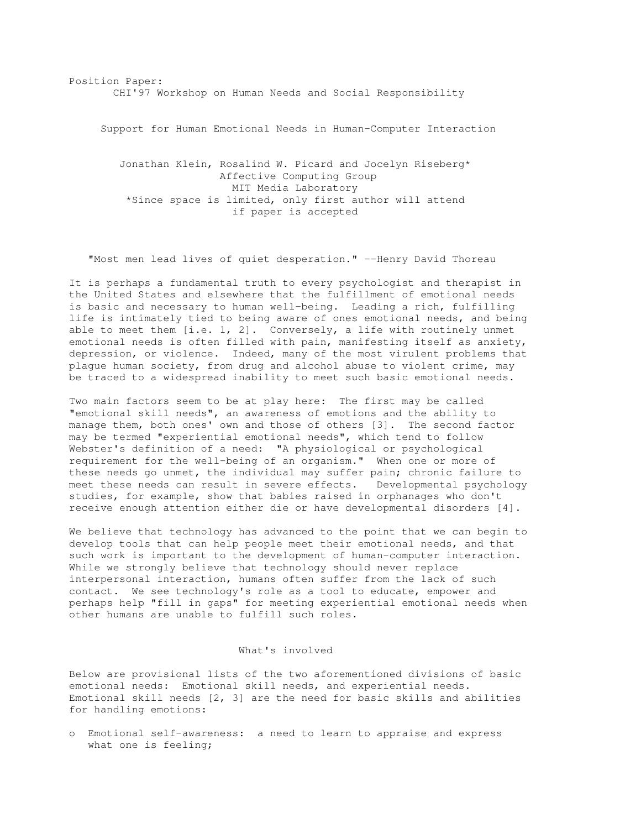Position Paper: CHI'97 Workshop on Human Needs and Social Responsibility

Support for Human Emotional Needs in Human-Computer Interaction

Jonathan Klein, Rosalind W. Picard and Jocelyn Riseberg\* Affective Computing Group MIT Media Laboratory \*Since space is limited, only first author will attend if paper is accepted

"Most men lead lives of quiet desperation." --Henry David Thoreau

It is perhaps a fundamental truth to every psychologist and therapist in the United States and elsewhere that the fulfillment of emotional needs is basic and necessary to human well-being. Leading a rich, fulfilling life is intimately tied to being aware of ones emotional needs, and being able to meet them  $[i.e. 1, 2]$ . Conversely, a life with routinely unmet emotional needs is often filled with pain, manifesting itself as anxiety, depression, or violence. Indeed, many of the most virulent problems that plague human society, from drug and alcohol abuse to violent crime, may be traced to a widespread inability to meet such basic emotional needs.

Two main factors seem to be at play here: The first may be called "emotional skill needs", an awareness of emotions and the ability to manage them, both ones' own and those of others [3]. The second factor may be termed "experiential emotional needs", which tend to follow Webster's definition of a need: "A physiological or psychological requirement for the well-being of an organism." When one or more of these needs go unmet, the individual may suffer pain; chronic failure to meet these needs can result in severe effects. Developmental psychology studies, for example, show that babies raised in orphanages who don't receive enough attention either die or have developmental disorders [4].

We believe that technology has advanced to the point that we can begin to develop tools that can help people meet their emotional needs, and that such work is important to the development of human-computer interaction. While we strongly believe that technology should never replace interpersonal interaction, humans often suffer from the lack of such contact. We see technology's role as a tool to educate, empower and perhaps help "fill in gaps" for meeting experiential emotional needs when other humans are unable to fulfill such roles.

## What's involved

Below are provisional lists of the two aforementioned divisions of basic emotional needs: Emotional skill needs, and experiential needs. Emotional skill needs [2, 3] are the need for basic skills and abilities for handling emotions:

o Emotional self-awareness: a need to learn to appraise and express what one is feeling;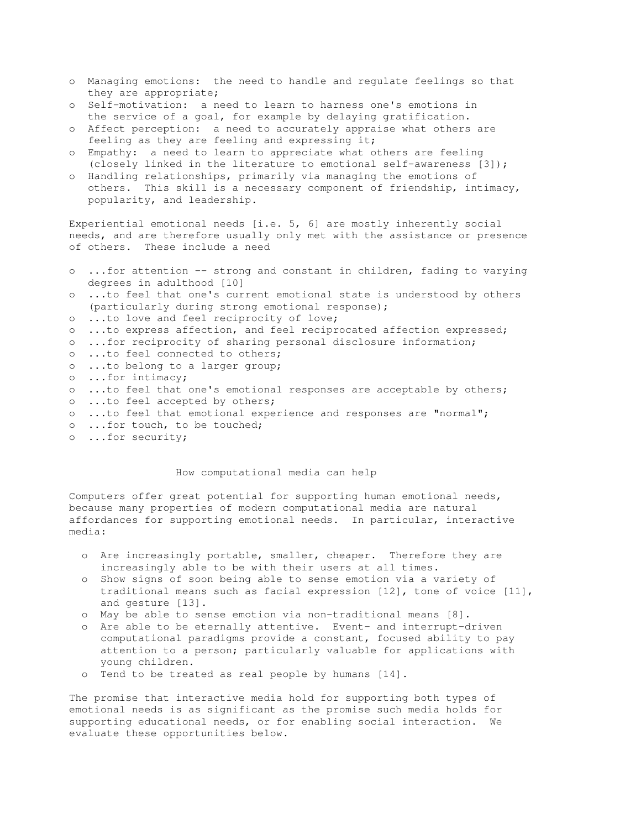- o Managing emotions: the need to handle and regulate feelings so that they are appropriate;
- o Self-motivation: a need to learn to harness one's emotions in the service of a goal, for example by delaying gratification.
- o Affect perception: a need to accurately appraise what others are feeling as they are feeling and expressing it;
- o Empathy: a need to learn to appreciate what others are feeling (closely linked in the literature to emotional self-awareness [3]);
- o Handling relationships, primarily via managing the emotions of others. This skill is a necessary component of friendship, intimacy, popularity, and leadership.

Experiential emotional needs [i.e. 5, 6] are mostly inherently social needs, and are therefore usually only met with the assistance or presence of others. These include a need

- o ...for attention -- strong and constant in children, fading to varying degrees in adulthood [10] o ...to feel that one's current emotional state is understood by others (particularly during strong emotional response); o ...to love and feel reciprocity of love; o ...to express affection, and feel reciprocated affection expressed;
- o ...for reciprocity of sharing personal disclosure information;
- o ...to feel connected to others;
- o ...to belong to a larger group;
- o ...for intimacy;
- o ...to feel that one's emotional responses are acceptable by others;
- o ...to feel accepted by others;
- o ...to feel that emotional experience and responses are "normal";
- o ...for touch, to be touched;
- o ...for security;

# How computational media can help

Computers offer great potential for supporting human emotional needs, because many properties of modern computational media are natural affordances for supporting emotional needs. In particular, interactive media:

- o Are increasingly portable, smaller, cheaper. Therefore they are increasingly able to be with their users at all times.
- o Show signs of soon being able to sense emotion via a variety of traditional means such as facial expression [12], tone of voice [11], and gesture [13].
- o May be able to sense emotion via non-traditional means [8].
- o Are able to be eternally attentive. Event- and interrupt-driven computational paradigms provide a constant, focused ability to pay attention to a person; particularly valuable for applications with young children.
- o Tend to be treated as real people by humans [14].

The promise that interactive media hold for supporting both types of emotional needs is as significant as the promise such media holds for supporting educational needs, or for enabling social interaction. We evaluate these opportunities below.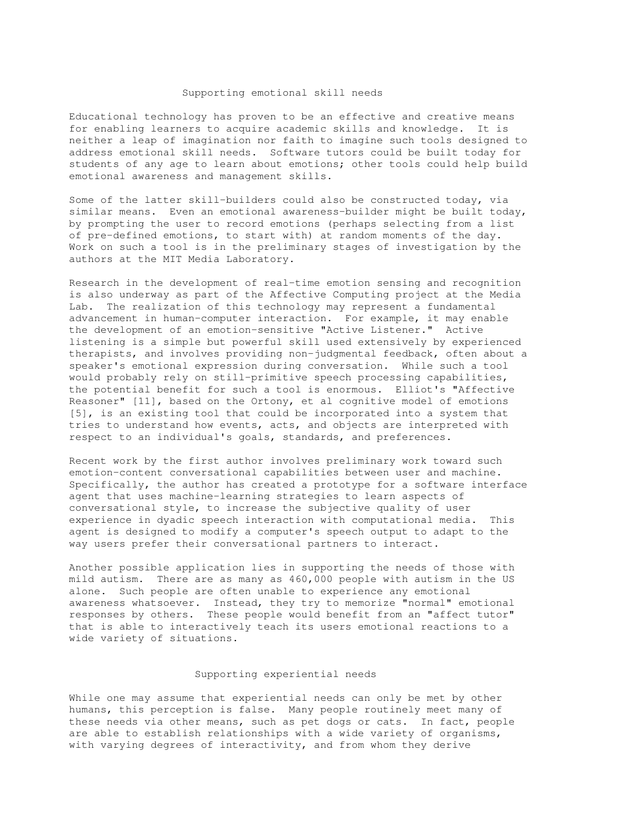### Supporting emotional skill needs

Educational technology has proven to be an effective and creative means for enabling learners to acquire academic skills and knowledge. It is neither a leap of imagination nor faith to imagine such tools designed to address emotional skill needs. Software tutors could be built today for students of any age to learn about emotions; other tools could help build emotional awareness and management skills.

Some of the latter skill-builders could also be constructed today, via similar means. Even an emotional awareness-builder might be built today, by prompting the user to record emotions (perhaps selecting from a list of pre-defined emotions, to start with) at random moments of the day. Work on such a tool is in the preliminary stages of investigation by the authors at the MIT Media Laboratory.

Research in the development of real-time emotion sensing and recognition is also underway as part of the Affective Computing project at the Media Lab. The realization of this technology may represent a fundamental advancement in human-computer interaction. For example, it may enable the development of an emotion-sensitive "Active Listener." Active listening is a simple but powerful skill used extensively by experienced therapists, and involves providing non-judgmental feedback, often about a speaker's emotional expression during conversation. While such a tool would probably rely on still-primitive speech processing capabilities, the potential benefit for such a tool is enormous. Elliot's "Affective Reasoner" [11], based on the Ortony, et al cognitive model of emotions [5], is an existing tool that could be incorporated into a system that tries to understand how events, acts, and objects are interpreted with respect to an individual's goals, standards, and preferences.

Recent work by the first author involves preliminary work toward such emotion-content conversational capabilities between user and machine. Specifically, the author has created a prototype for a software interface agent that uses machine-learning strategies to learn aspects of conversational style, to increase the subjective quality of user experience in dyadic speech interaction with computational media. This agent is designed to modify a computer's speech output to adapt to the way users prefer their conversational partners to interact.

Another possible application lies in supporting the needs of those with mild autism. There are as many as 460,000 people with autism in the US alone. Such people are often unable to experience any emotional awareness whatsoever. Instead, they try to memorize "normal" emotional responses by others. These people would benefit from an "affect tutor" that is able to interactively teach its users emotional reactions to a wide variety of situations.

## Supporting experiential needs

While one may assume that experiential needs can only be met by other humans, this perception is false. Many people routinely meet many of these needs via other means, such as pet dogs or cats. In fact, people are able to establish relationships with a wide variety of organisms, with varying degrees of interactivity, and from whom they derive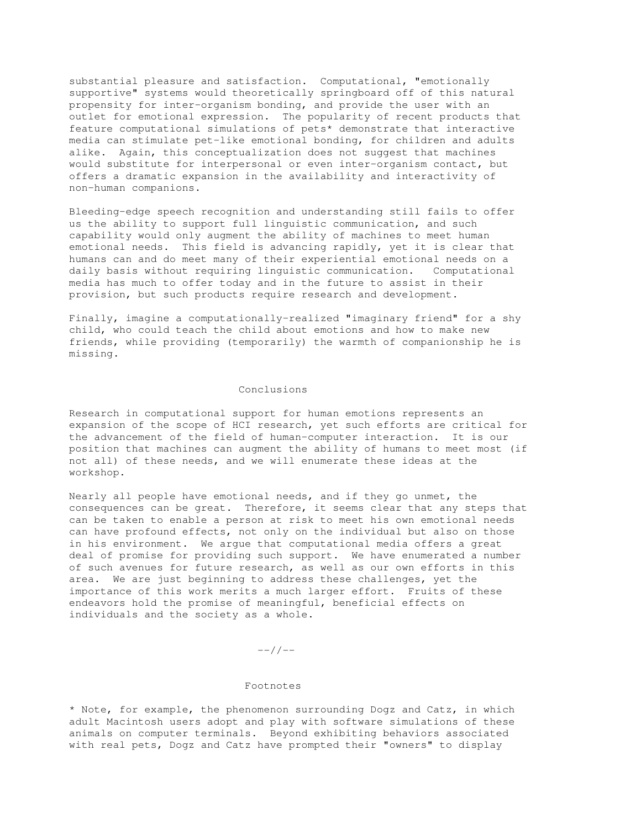substantial pleasure and satisfaction. Computational, "emotionally supportive" systems would theoretically springboard off of this natural propensity for inter-organism bonding, and provide the user with an outlet for emotional expression. The popularity of recent products that feature computational simulations of pets\* demonstrate that interactive media can stimulate pet-like emotional bonding, for children and adults alike. Again, this conceptualization does not suggest that machines would substitute for interpersonal or even inter-organism contact, but offers a dramatic expansion in the availability and interactivity of non-human companions.

Bleeding-edge speech recognition and understanding still fails to offer us the ability to support full linguistic communication, and such capability would only augment the ability of machines to meet human emotional needs. This field is advancing rapidly, yet it is clear that humans can and do meet many of their experiential emotional needs on a daily basis without requiring linguistic communication. Computational media has much to offer today and in the future to assist in their provision, but such products require research and development.

Finally, imagine a computationally-realized "imaginary friend" for a shy child, who could teach the child about emotions and how to make new friends, while providing (temporarily) the warmth of companionship he is missing.

### Conclusions

Research in computational support for human emotions represents an expansion of the scope of HCI research, yet such efforts are critical for the advancement of the field of human-computer interaction. It is our position that machines can augment the ability of humans to meet most (if not all) of these needs, and we will enumerate these ideas at the workshop.

Nearly all people have emotional needs, and if they go unmet, the consequences can be great. Therefore, it seems clear that any steps that can be taken to enable a person at risk to meet his own emotional needs can have profound effects, not only on the individual but also on those in his environment. We argue that computational media offers a great deal of promise for providing such support. We have enumerated a number of such avenues for future research, as well as our own efforts in this area. We are just beginning to address these challenges, yet the importance of this work merits a much larger effort. Fruits of these endeavors hold the promise of meaningful, beneficial effects on individuals and the society as a whole.

 $---/$  /  $---$ 

# Footnotes

\* Note, for example, the phenomenon surrounding Dogz and Catz, in which adult Macintosh users adopt and play with software simulations of these animals on computer terminals. Beyond exhibiting behaviors associated with real pets, Dogz and Catz have prompted their "owners" to display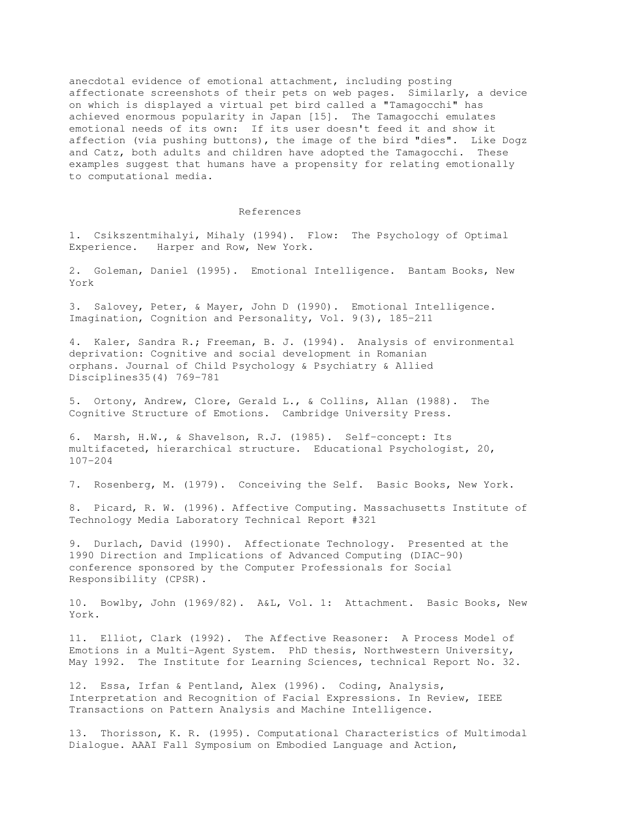anecdotal evidence of emotional attachment, including posting affectionate screenshots of their pets on web pages. Similarly, a device on which is displayed a virtual pet bird called a "Tamagocchi" has achieved enormous popularity in Japan [15]. The Tamagocchi emulates emotional needs of its own: If its user doesn't feed it and show it affection (via pushing buttons), the image of the bird "dies". Like Dogz and Catz, both adults and children have adopted the Tamagocchi. These examples suggest that humans have a propensity for relating emotionally to computational media.

### References

1. Csikszentmihalyi, Mihaly (1994). Flow: The Psychology of Optimal Experience. Harper and Row, New York.

2. Goleman, Daniel (1995). Emotional Intelligence. Bantam Books, New York

3. Salovey, Peter, & Mayer, John D (1990). Emotional Intelligence. Imagination, Cognition and Personality, Vol. 9(3), 185-211

4. Kaler, Sandra R.; Freeman, B. J. (1994). Analysis of environmental deprivation: Cognitive and social development in Romanian orphans. Journal of Child Psychology & Psychiatry & Allied Disciplines35(4) 769-781

5. Ortony, Andrew, Clore, Gerald L., & Collins, Allan (1988). The Cognitive Structure of Emotions. Cambridge University Press.

6. Marsh, H.W., & Shavelson, R.J. (1985). Self-concept: Its multifaceted, hierarchical structure. Educational Psychologist, 20, 107-204

7. Rosenberg, M. (1979). Conceiving the Self. Basic Books, New York.

8. Picard, R. W. (1996). Affective Computing. Massachusetts Institute of Technology Media Laboratory Technical Report #321

9. Durlach, David (1990). Affectionate Technology. Presented at the 1990 Direction and Implications of Advanced Computing (DIAC-90) conference sponsored by the Computer Professionals for Social Responsibility (CPSR).

10. Bowlby, John (1969/82). A&L, Vol. 1: Attachment. Basic Books, New York.

11. Elliot, Clark (1992). The Affective Reasoner: A Process Model of Emotions in a Multi-Agent System. PhD thesis, Northwestern University, May 1992. The Institute for Learning Sciences, technical Report No. 32.

12. Essa, Irfan & Pentland, Alex (1996). Coding, Analysis, Interpretation and Recognition of Facial Expressions. In Review, IEEE Transactions on Pattern Analysis and Machine Intelligence.

13. Thorisson, K. R. (1995). Computational Characteristics of Multimodal Dialogue. AAAI Fall Symposium on Embodied Language and Action,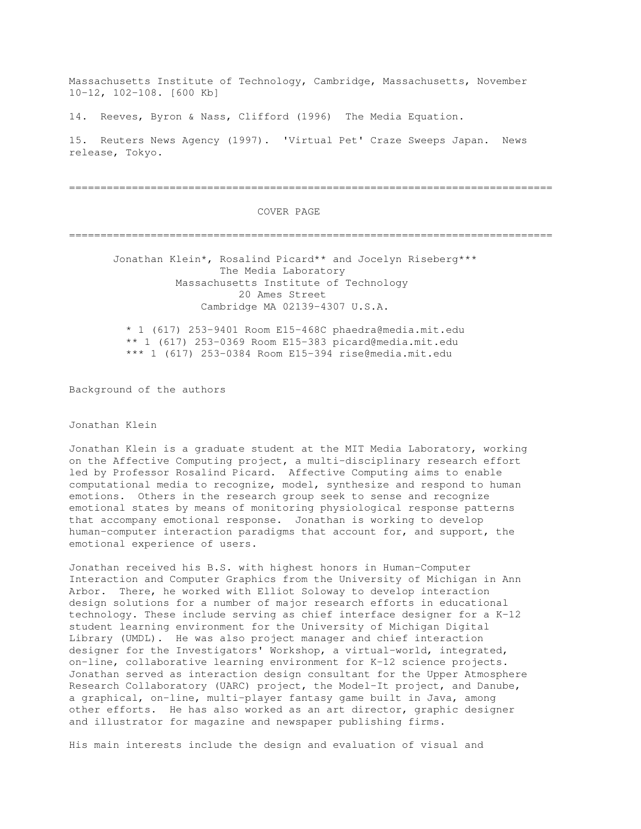Massachusetts Institute of Technology, Cambridge, Massachusetts, November 10-12, 102-108. [600 Kb]

14. Reeves, Byron & Nass, Clifford (1996) The Media Equation.

15. Reuters News Agency (1997). 'Virtual Pet' Craze Sweeps Japan. News release, Tokyo.

=============================================================================

### COVER PAGE

=============================================================================

Jonathan Klein\*, Rosalind Picard\*\* and Jocelyn Riseberg\*\*\* The Media Laboratory Massachusetts Institute of Technology 20 Ames Street Cambridge MA 02139-4307 U.S.A.

\* 1 (617) 253-9401 Room E15-468C phaedra@media.mit.edu \*\* 1 (617) 253-0369 Room E15-383 picard@media.mit.edu \*\*\* 1 (617) 253-0384 Room E15-394 rise@media.mit.edu

Background of the authors

Jonathan Klein

Jonathan Klein is a graduate student at the MIT Media Laboratory, working on the Affective Computing project, a multi-disciplinary research effort led by Professor Rosalind Picard. Affective Computing aims to enable computational media to recognize, model, synthesize and respond to human emotions. Others in the research group seek to sense and recognize emotional states by means of monitoring physiological response patterns that accompany emotional response. Jonathan is working to develop human-computer interaction paradigms that account for, and support, the emotional experience of users.

Jonathan received his B.S. with highest honors in Human-Computer Interaction and Computer Graphics from the University of Michigan in Ann Arbor. There, he worked with Elliot Soloway to develop interaction design solutions for a number of major research efforts in educational technology. These include serving as chief interface designer for a K-12 student learning environment for the University of Michigan Digital Library (UMDL). He was also project manager and chief interaction designer for the Investigators' Workshop, a virtual-world, integrated, on-line, collaborative learning environment for K-12 science projects. Jonathan served as interaction design consultant for the Upper Atmosphere Research Collaboratory (UARC) project, the Model-It project, and Danube, a graphical, on-line, multi-player fantasy game built in Java, among other efforts. He has also worked as an art director, graphic designer and illustrator for magazine and newspaper publishing firms.

His main interests include the design and evaluation of visual and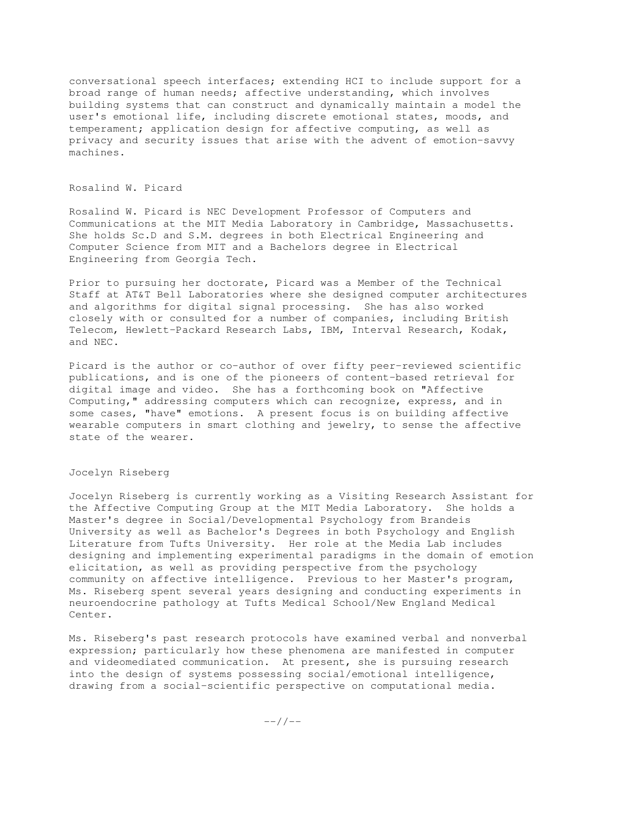conversational speech interfaces; extending HCI to include support for a broad range of human needs; affective understanding, which involves building systems that can construct and dynamically maintain a model the user's emotional life, including discrete emotional states, moods, and temperament; application design for affective computing, as well as privacy and security issues that arise with the advent of emotion-savvy machines.

### Rosalind W. Picard

Rosalind W. Picard is NEC Development Professor of Computers and Communications at the MIT Media Laboratory in Cambridge, Massachusetts. She holds Sc.D and S.M. degrees in both Electrical Engineering and Computer Science from MIT and a Bachelors degree in Electrical Engineering from Georgia Tech.

Prior to pursuing her doctorate, Picard was a Member of the Technical Staff at AT&T Bell Laboratories where she designed computer architectures and algorithms for digital signal processing. She has also worked closely with or consulted for a number of companies, including British Telecom, Hewlett-Packard Research Labs, IBM, Interval Research, Kodak, and NEC.

Picard is the author or co-author of over fifty peer-reviewed scientific publications, and is one of the pioneers of content-based retrieval for digital image and video. She has a forthcoming book on "Affective Computing," addressing computers which can recognize, express, and in some cases, "have" emotions. A present focus is on building affective wearable computers in smart clothing and jewelry, to sense the affective state of the wearer.

# Jocelyn Riseberg

Jocelyn Riseberg is currently working as a Visiting Research Assistant for the Affective Computing Group at the MIT Media Laboratory. She holds a Master's degree in Social/Developmental Psychology from Brandeis University as well as Bachelor's Degrees in both Psychology and English Literature from Tufts University. Her role at the Media Lab includes designing and implementing experimental paradigms in the domain of emotion elicitation, as well as providing perspective from the psychology community on affective intelligence. Previous to her Master's program, Ms. Riseberg spent several years designing and conducting experiments in neuroendocrine pathology at Tufts Medical School/New England Medical Center.

Ms. Riseberg's past research protocols have examined verbal and nonverbal expression; particularly how these phenomena are manifested in computer and videomediated communication. At present, she is pursuing research into the design of systems possessing social/emotional intelligence, drawing from a social-scientific perspective on computational media.

 $---/ /---$